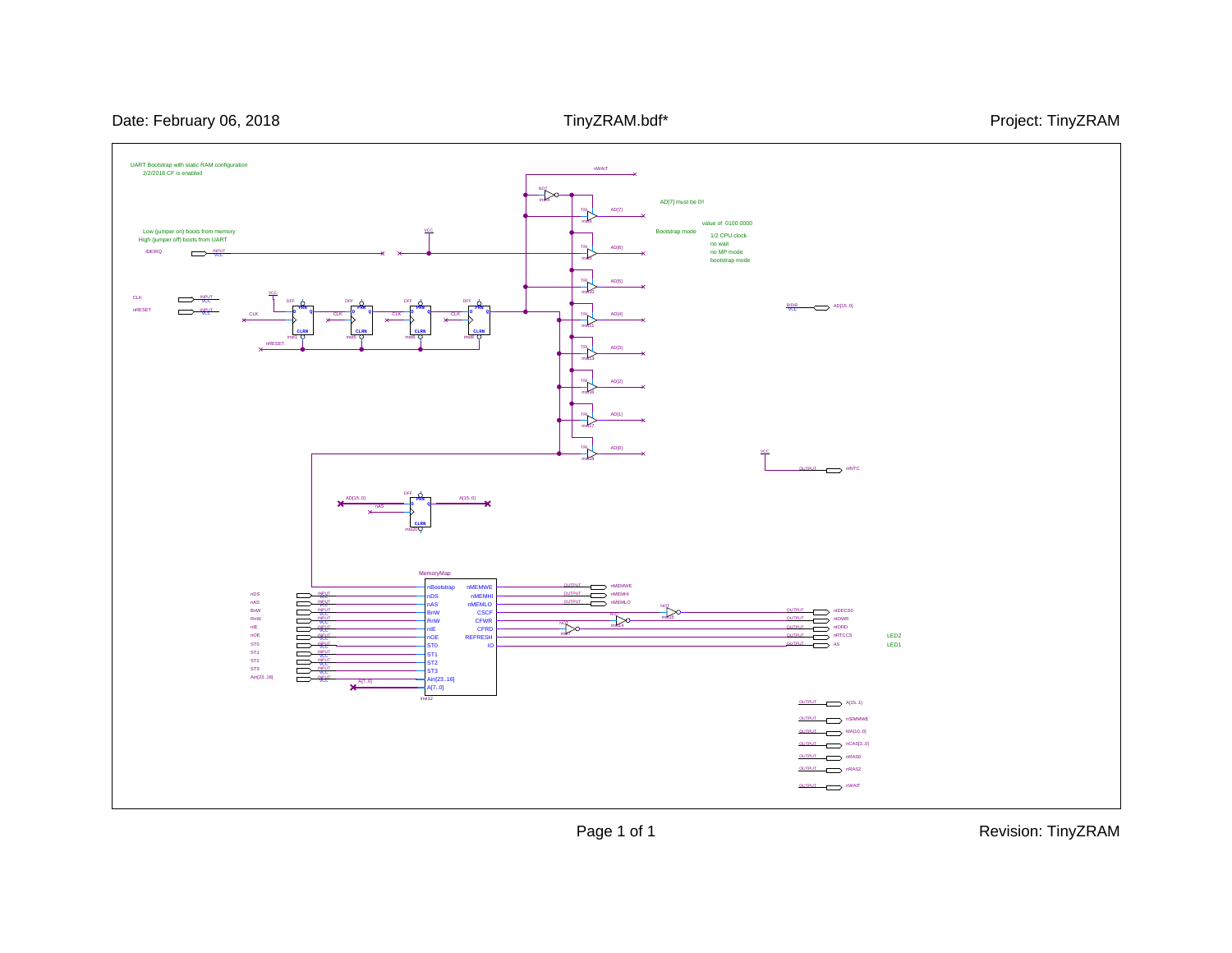

Page 1 of 1 Revision: TinyZRAM